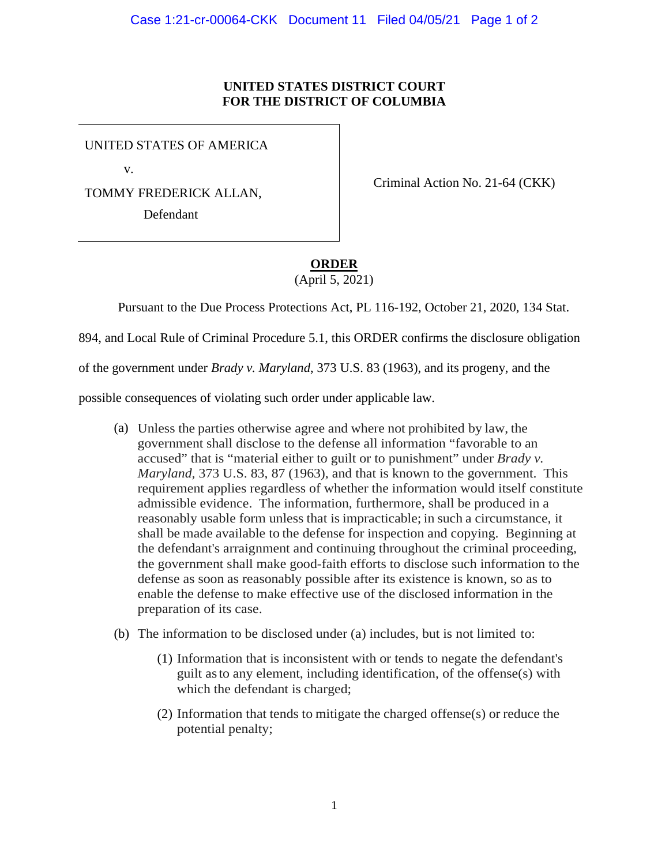## **UNITED STATES DISTRICT COURT FOR THE DISTRICT OF COLUMBIA**

UNITED STATES OF AMERICA

v.

TOMMY FREDERICK ALLAN,

Defendant

Criminal Action No. 21-64 (CKK)

**ORDER** (April 5, 2021)

Pursuant to the Due Process Protections Act, PL 116-192, October 21, 2020, 134 Stat.

894, and Local Rule of Criminal Procedure 5.1, this ORDER confirms the disclosure obligation

of the government under *Brady v. Maryland*, 373 U.S. 83 (1963), and its progeny, and the

possible consequences of violating such order under applicable law.

- (a) Unless the parties otherwise agree and where not prohibited by law, the government shall disclose to the defense all information "favorable to an accused" that is "material either to guilt or to punishment" under *Brady v. Maryland,* 373 U.S. 83, 87 (1963), and that is known to the government. This requirement applies regardless of whether the information would itself constitute admissible evidence. The information, furthermore, shall be produced in a reasonably usable form unless that is impracticable; in such a circumstance, it shall be made available to the defense for inspection and copying. Beginning at the defendant's arraignment and continuing throughout the criminal proceeding, the government shall make good-faith efforts to disclose such information to the defense as soon as reasonably possible after its existence is known, so as to enable the defense to make effective use of the disclosed information in the preparation of its case.
- (b) The information to be disclosed under (a) includes, but is not limited to:
	- (1) Information that is inconsistent with or tends to negate the defendant's guilt asto any element, including identification, of the offense(s) with which the defendant is charged;
	- (2) Information that tends to mitigate the charged offense(s) or reduce the potential penalty;